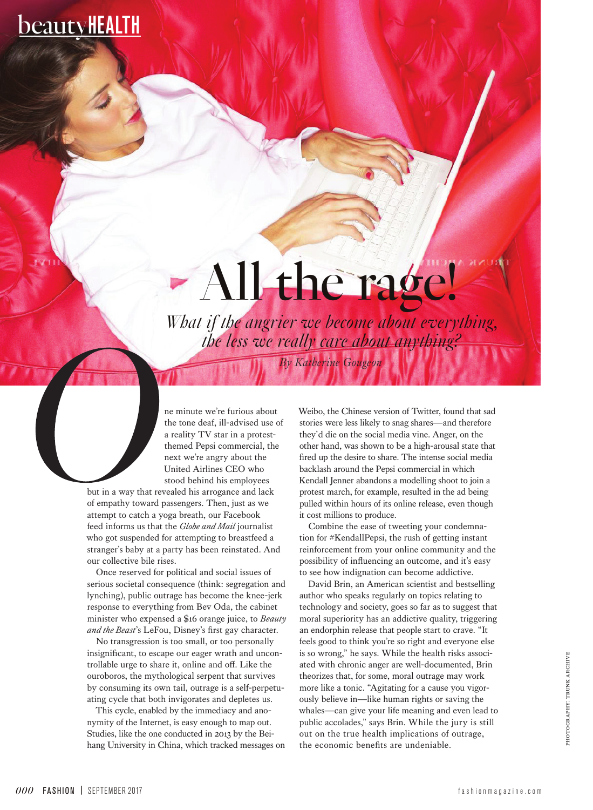# **beautyHEALTH**

# - All the rage!

*By Katherine Gougeon What if the angrier we become about everything, the less we really care about anything?* 

ne minute we're furious about the tone deaf, ill-advised use of a reality TV star in a protestthemed Pepsi commercial, the next we're angry about the United Airlines CEO who stood behind his employees

but in a way that revealed his arrogance and lack of empathy toward passengers. Then, just as we attempt to catch a yoga breath, our Facebook feed informs us that the *Globe and Mail* journalist who got suspended for attempting to breastfeed a stranger's baby at a party has been reinstated. And our collective bile rises.

Once reserved for political and social issues of serious societal consequence (think: segregation and lynching), public outrage has become the knee-jerk response to everything from Bev Oda, the cabinet minister who expensed a \$16 orange juice, to *Beauty and the Beast*'s LeFou, Disney's first gay character.

No transgression is too small, or too personally insignificant, to escape our eager wrath and uncontrollable urge to share it, online and off. Like the ouroboros, the mythological serpent that survives by consuming its own tail, outrage is a self-perpetuating cycle that both invigorates and depletes us.

This cycle, enabled by the immediacy and anonymity of the Internet, is easy enough to map out. Studies, like the one conducted in 2013 by the Beihang University in China, which tracked messages on Weibo, the Chinese version of Twitter, found that sad stories were less likely to snag shares—and therefore they'd die on the social media vine. Anger, on the other hand, was shown to be a high-arousal state that fired up the desire to share. The intense social media backlash around the Pepsi commercial in which Kendall Jenner abandons a modelling shoot to join a protest march, for example, resulted in the ad being pulled within hours of its online release, even though it cost millions to produce.

Combine the ease of tweeting your condemnation for #KendallPepsi, the rush of getting instant reinforcement from your online community and the possibility of influencing an outcome, and it's easy to see how indignation can become addictive.

David Brin, an American scientist and bestselling author who speaks regularly on topics relating to technology and society, goes so far as to suggest that moral superiority has an addictive quality, triggering an endorphin release that people start to crave. "It feels good to think you're so right and everyone else is so wrong," he says. While the health risks associated with chronic anger are well-documented, Brin theorizes that, for some, moral outrage may work more like a tonic. "Agitating for a cause you vigorously believe in—like human rights or saving the whales—can give your life meaning and even lead to public accolades," says Brin. While the jury is still out on the true health implications of outrage, the economic benefits are undeniable.